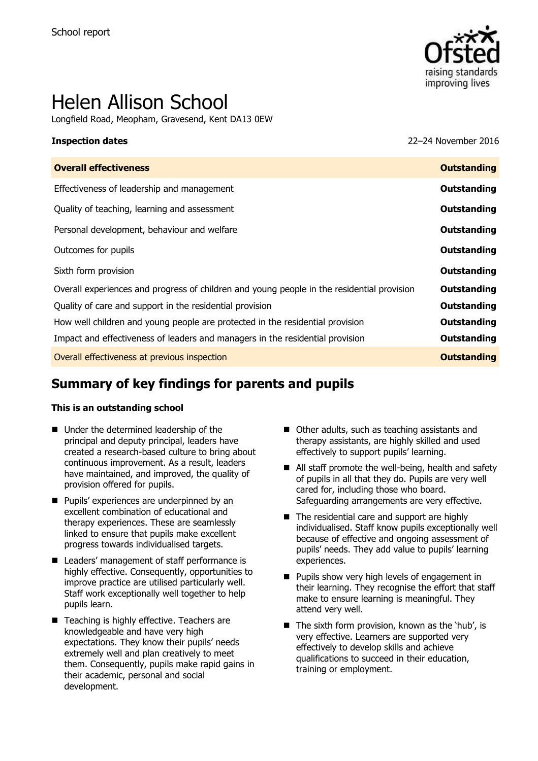

# Helen Allison School

Longfield Road, Meopham, Gravesend, Kent DA13 0EW

**Inspection dates** 22–24 November 2016

| <b>Outstanding</b> |
|--------------------|
| Outstanding        |
| <b>Outstanding</b> |
| Outstanding        |
| Outstanding        |
| Outstanding        |
| Outstanding        |
| <b>Outstanding</b> |
| Outstanding        |
| <b>Outstanding</b> |
| <b>Outstanding</b> |
|                    |

# **Summary of key findings for parents and pupils**

#### **This is an outstanding school**

- Under the determined leadership of the principal and deputy principal, leaders have created a research-based culture to bring about continuous improvement. As a result, leaders have maintained, and improved, the quality of provision offered for pupils.
- **Pupils' experiences are underpinned by an** excellent combination of educational and therapy experiences. These are seamlessly linked to ensure that pupils make excellent progress towards individualised targets.
- Leaders' management of staff performance is highly effective. Consequently, opportunities to improve practice are utilised particularly well. Staff work exceptionally well together to help pupils learn.
- Teaching is highly effective. Teachers are knowledgeable and have very high expectations. They know their pupils' needs extremely well and plan creatively to meet them. Consequently, pupils make rapid gains in their academic, personal and social development.
- Other adults, such as teaching assistants and therapy assistants, are highly skilled and used effectively to support pupils' learning.
- All staff promote the well-being, health and safety of pupils in all that they do. Pupils are very well cared for, including those who board. Safeguarding arrangements are very effective.
- The residential care and support are highly individualised. Staff know pupils exceptionally well because of effective and ongoing assessment of pupils' needs. They add value to pupils' learning experiences.
- **Pupils show very high levels of engagement in** their learning. They recognise the effort that staff make to ensure learning is meaningful. They attend very well.
- $\blacksquare$  The sixth form provision, known as the 'hub', is very effective. Learners are supported very effectively to develop skills and achieve qualifications to succeed in their education, training or employment.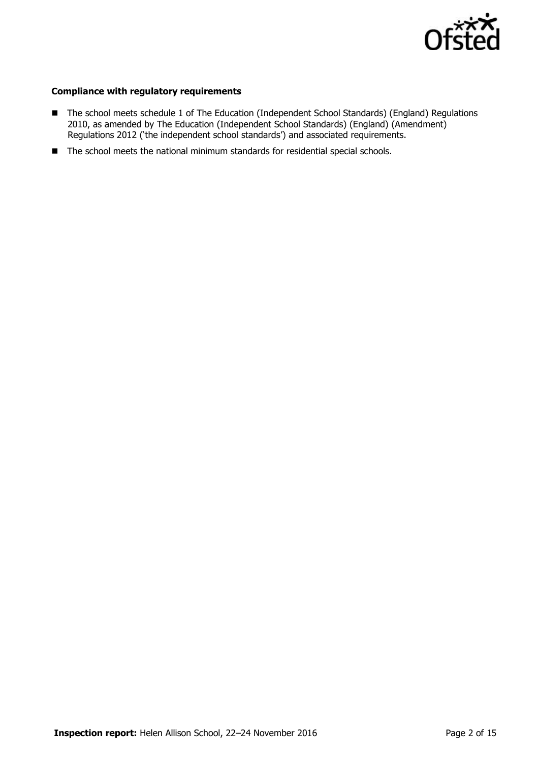

#### **Compliance with regulatory requirements**

- The school meets schedule 1 of The Education (Independent School Standards) (England) Regulations 2010, as amended by The Education (Independent School Standards) (England) (Amendment) Regulations 2012 ('the independent school standards') and associated requirements.
- The school meets the national minimum standards for residential special schools.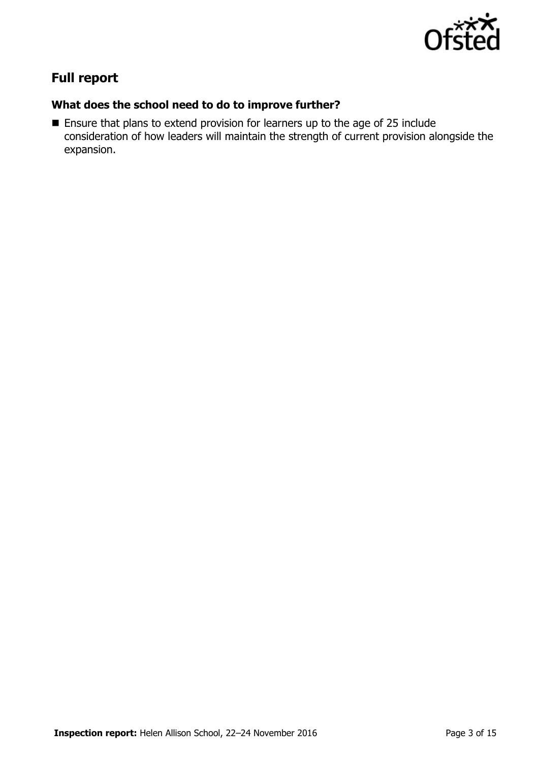

# **Full report**

## **What does the school need to do to improve further?**

**Ensure that plans to extend provision for learners up to the age of 25 include** consideration of how leaders will maintain the strength of current provision alongside the expansion.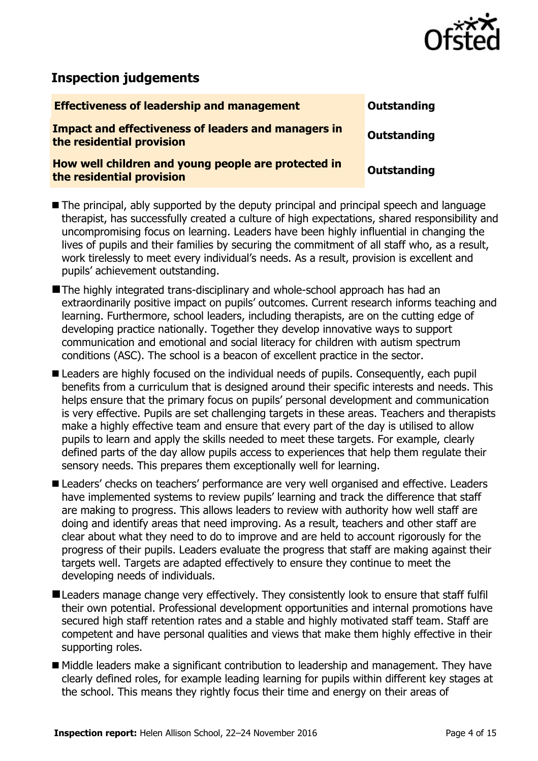

# **Inspection judgements**

| <b>Effectiveness of leadership and management</b>                                       | Outstanding |
|-----------------------------------------------------------------------------------------|-------------|
| <b>Impact and effectiveness of leaders and managers in</b><br>the residential provision | Outstanding |
| How well children and young people are protected in<br>the residential provision        | Outstanding |
|                                                                                         |             |

■ The principal, ably supported by the deputy principal and principal speech and language therapist, has successfully created a culture of high expectations, shared responsibility and uncompromising focus on learning. Leaders have been highly influential in changing the lives of pupils and their families by securing the commitment of all staff who, as a result, work tirelessly to meet every individual's needs. As a result, provision is excellent and pupils' achievement outstanding.

The highly integrated trans-disciplinary and whole-school approach has had an extraordinarily positive impact on pupils' outcomes. Current research informs teaching and learning. Furthermore, school leaders, including therapists, are on the cutting edge of developing practice nationally. Together they develop innovative ways to support communication and emotional and social literacy for children with autism spectrum conditions (ASC). The school is a beacon of excellent practice in the sector.

Leaders are highly focused on the individual needs of pupils. Consequently, each pupil benefits from a curriculum that is designed around their specific interests and needs. This helps ensure that the primary focus on pupils' personal development and communication is very effective. Pupils are set challenging targets in these areas. Teachers and therapists make a highly effective team and ensure that every part of the day is utilised to allow pupils to learn and apply the skills needed to meet these targets. For example, clearly defined parts of the day allow pupils access to experiences that help them regulate their sensory needs. This prepares them exceptionally well for learning.

Leaders' checks on teachers' performance are very well organised and effective. Leaders have implemented systems to review pupils' learning and track the difference that staff are making to progress. This allows leaders to review with authority how well staff are doing and identify areas that need improving. As a result, teachers and other staff are clear about what they need to do to improve and are held to account rigorously for the progress of their pupils. Leaders evaluate the progress that staff are making against their targets well. Targets are adapted effectively to ensure they continue to meet the developing needs of individuals.

- **ELeaders manage change very effectively. They consistently look to ensure that staff fulfil** their own potential. Professional development opportunities and internal promotions have secured high staff retention rates and a stable and highly motivated staff team. Staff are competent and have personal qualities and views that make them highly effective in their supporting roles.
- Middle leaders make a significant contribution to leadership and management. They have clearly defined roles, for example leading learning for pupils within different key stages at the school. This means they rightly focus their time and energy on their areas of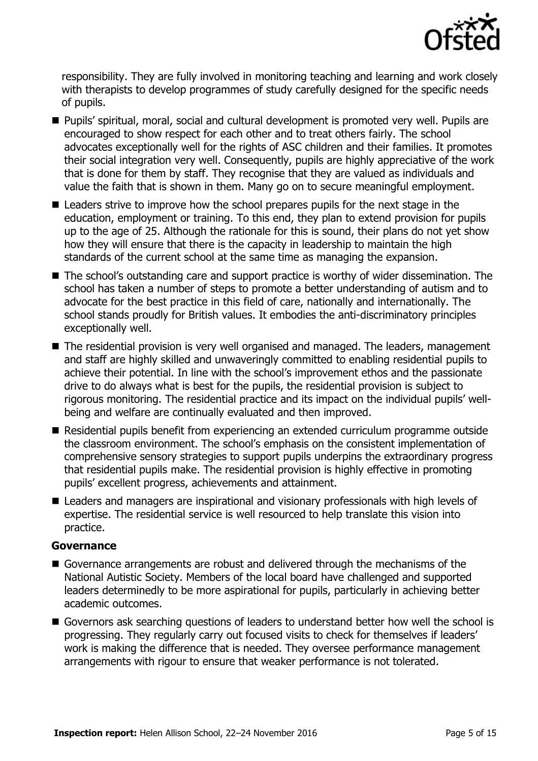

responsibility. They are fully involved in monitoring teaching and learning and work closely with therapists to develop programmes of study carefully designed for the specific needs of pupils.

- Pupils' spiritual, moral, social and cultural development is promoted very well. Pupils are encouraged to show respect for each other and to treat others fairly. The school advocates exceptionally well for the rights of ASC children and their families. It promotes their social integration very well. Consequently, pupils are highly appreciative of the work that is done for them by staff. They recognise that they are valued as individuals and value the faith that is shown in them. Many go on to secure meaningful employment.
- Leaders strive to improve how the school prepares pupils for the next stage in the education, employment or training. To this end, they plan to extend provision for pupils up to the age of 25. Although the rationale for this is sound, their plans do not yet show how they will ensure that there is the capacity in leadership to maintain the high standards of the current school at the same time as managing the expansion.
- The school's outstanding care and support practice is worthy of wider dissemination. The school has taken a number of steps to promote a better understanding of autism and to advocate for the best practice in this field of care, nationally and internationally. The school stands proudly for British values. It embodies the anti-discriminatory principles exceptionally well.
- The residential provision is very well organised and managed. The leaders, management and staff are highly skilled and unwaveringly committed to enabling residential pupils to achieve their potential. In line with the school's improvement ethos and the passionate drive to do always what is best for the pupils, the residential provision is subject to rigorous monitoring. The residential practice and its impact on the individual pupils' wellbeing and welfare are continually evaluated and then improved.
- Residential pupils benefit from experiencing an extended curriculum programme outside the classroom environment. The school's emphasis on the consistent implementation of comprehensive sensory strategies to support pupils underpins the extraordinary progress that residential pupils make. The residential provision is highly effective in promoting pupils' excellent progress, achievements and attainment.
- Leaders and managers are inspirational and visionary professionals with high levels of expertise. The residential service is well resourced to help translate this vision into practice.

### **Governance**

- Governance arrangements are robust and delivered through the mechanisms of the National Autistic Society. Members of the local board have challenged and supported leaders determinedly to be more aspirational for pupils, particularly in achieving better academic outcomes.
- Governors ask searching questions of leaders to understand better how well the school is progressing. They regularly carry out focused visits to check for themselves if leaders' work is making the difference that is needed. They oversee performance management arrangements with rigour to ensure that weaker performance is not tolerated.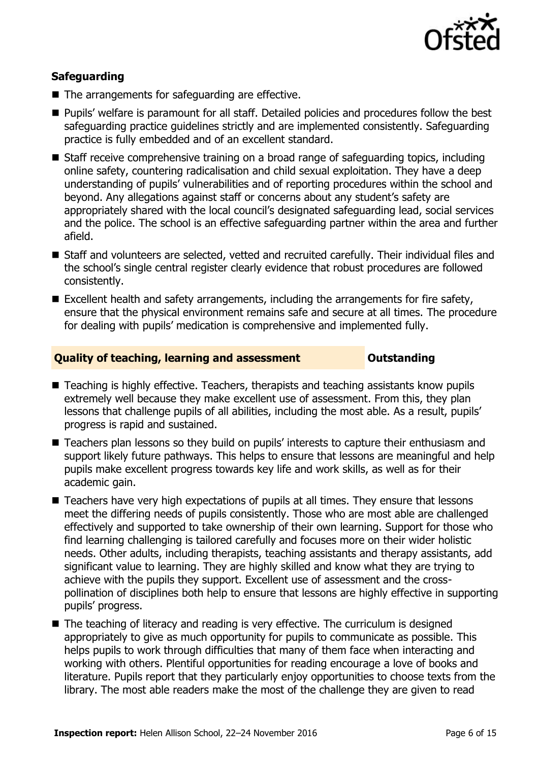

### **Safeguarding**

- The arrangements for safeguarding are effective.
- **Pupils'** welfare is paramount for all staff. Detailed policies and procedures follow the best safeguarding practice guidelines strictly and are implemented consistently. Safeguarding practice is fully embedded and of an excellent standard.
- Staff receive comprehensive training on a broad range of safeguarding topics, including online safety, countering radicalisation and child sexual exploitation. They have a deep understanding of pupils' vulnerabilities and of reporting procedures within the school and beyond. Any allegations against staff or concerns about any student's safety are appropriately shared with the local council's designated safeguarding lead, social services and the police. The school is an effective safeguarding partner within the area and further afield.
- Staff and volunteers are selected, vetted and recruited carefully. Their individual files and the school's single central register clearly evidence that robust procedures are followed consistently.
- $\blacksquare$  Excellent health and safety arrangements, including the arrangements for fire safety, ensure that the physical environment remains safe and secure at all times. The procedure for dealing with pupils' medication is comprehensive and implemented fully.

### **Quality of teaching, learning and assessment <b>Caucalian** Outstanding

- Teaching is highly effective. Teachers, therapists and teaching assistants know pupils extremely well because they make excellent use of assessment. From this, they plan lessons that challenge pupils of all abilities, including the most able. As a result, pupils' progress is rapid and sustained.
- Teachers plan lessons so they build on pupils' interests to capture their enthusiasm and support likely future pathways. This helps to ensure that lessons are meaningful and help pupils make excellent progress towards key life and work skills, as well as for their academic gain.
- Teachers have very high expectations of pupils at all times. They ensure that lessons meet the differing needs of pupils consistently. Those who are most able are challenged effectively and supported to take ownership of their own learning. Support for those who find learning challenging is tailored carefully and focuses more on their wider holistic needs. Other adults, including therapists, teaching assistants and therapy assistants, add significant value to learning. They are highly skilled and know what they are trying to achieve with the pupils they support. Excellent use of assessment and the crosspollination of disciplines both help to ensure that lessons are highly effective in supporting pupils' progress.
- The teaching of literacy and reading is very effective. The curriculum is designed appropriately to give as much opportunity for pupils to communicate as possible. This helps pupils to work through difficulties that many of them face when interacting and working with others. Plentiful opportunities for reading encourage a love of books and literature. Pupils report that they particularly enjoy opportunities to choose texts from the library. The most able readers make the most of the challenge they are given to read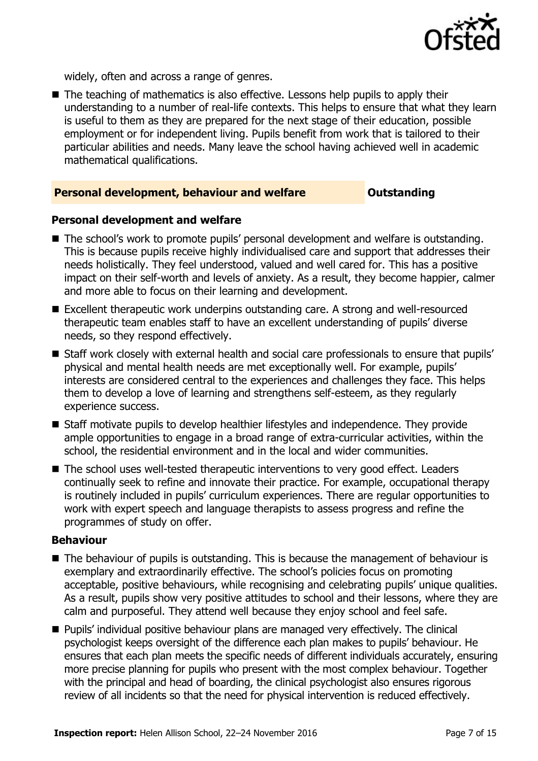

widely, often and across a range of genres.

 $\blacksquare$  The teaching of mathematics is also effective. Lessons help pupils to apply their understanding to a number of real-life contexts. This helps to ensure that what they learn is useful to them as they are prepared for the next stage of their education, possible employment or for independent living. Pupils benefit from work that is tailored to their particular abilities and needs. Many leave the school having achieved well in academic mathematical qualifications.

#### **Personal development, behaviour and welfare <b>COUTS** Outstanding

#### **Personal development and welfare**

- The school's work to promote pupils' personal development and welfare is outstanding. This is because pupils receive highly individualised care and support that addresses their needs holistically. They feel understood, valued and well cared for. This has a positive impact on their self-worth and levels of anxiety. As a result, they become happier, calmer and more able to focus on their learning and development.
- Excellent therapeutic work underpins outstanding care. A strong and well-resourced therapeutic team enables staff to have an excellent understanding of pupils' diverse needs, so they respond effectively.
- Staff work closely with external health and social care professionals to ensure that pupils' physical and mental health needs are met exceptionally well. For example, pupils' interests are considered central to the experiences and challenges they face. This helps them to develop a love of learning and strengthens self-esteem, as they regularly experience success.
- Staff motivate pupils to develop healthier lifestyles and independence. They provide ample opportunities to engage in a broad range of extra-curricular activities, within the school, the residential environment and in the local and wider communities.
- The school uses well-tested therapeutic interventions to very good effect. Leaders continually seek to refine and innovate their practice. For example, occupational therapy is routinely included in pupils' curriculum experiences. There are regular opportunities to work with expert speech and language therapists to assess progress and refine the programmes of study on offer.

#### **Behaviour**

- $\blacksquare$  The behaviour of pupils is outstanding. This is because the management of behaviour is exemplary and extraordinarily effective. The school's policies focus on promoting acceptable, positive behaviours, while recognising and celebrating pupils' unique qualities. As a result, pupils show very positive attitudes to school and their lessons, where they are calm and purposeful. They attend well because they enjoy school and feel safe.
- **Pupils' individual positive behaviour plans are managed very effectively. The clinical** psychologist keeps oversight of the difference each plan makes to pupils' behaviour. He ensures that each plan meets the specific needs of different individuals accurately, ensuring more precise planning for pupils who present with the most complex behaviour. Together with the principal and head of boarding, the clinical psychologist also ensures rigorous review of all incidents so that the need for physical intervention is reduced effectively.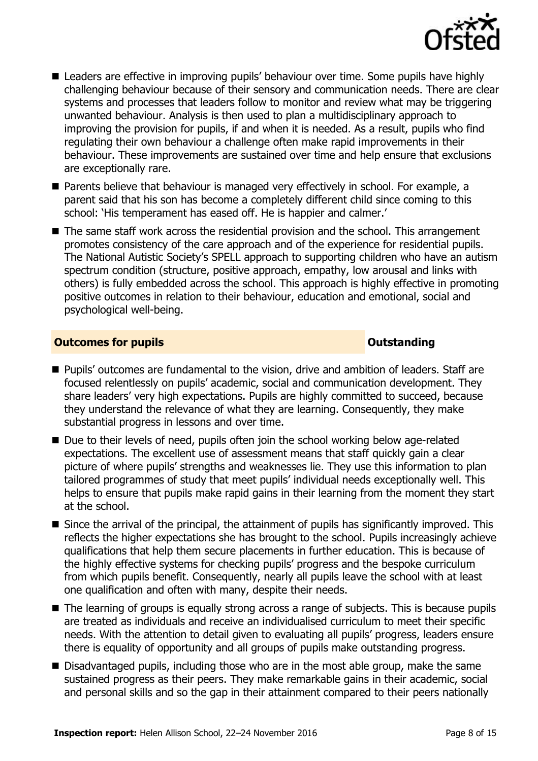

- Leaders are effective in improving pupils' behaviour over time. Some pupils have highly challenging behaviour because of their sensory and communication needs. There are clear systems and processes that leaders follow to monitor and review what may be triggering unwanted behaviour. Analysis is then used to plan a multidisciplinary approach to improving the provision for pupils, if and when it is needed. As a result, pupils who find regulating their own behaviour a challenge often make rapid improvements in their behaviour. These improvements are sustained over time and help ensure that exclusions are exceptionally rare.
- **Parents believe that behaviour is managed very effectively in school. For example, a** parent said that his son has become a completely different child since coming to this school: 'His temperament has eased off. He is happier and calmer.'
- The same staff work across the residential provision and the school. This arrangement promotes consistency of the care approach and of the experience for residential pupils. The National Autistic Society's SPELL approach to supporting children who have an autism spectrum condition (structure, positive approach, empathy, low arousal and links with others) is fully embedded across the school. This approach is highly effective in promoting positive outcomes in relation to their behaviour, education and emotional, social and psychological well-being.

#### **Outcomes for pupils Outstanding**

- **Pupils' outcomes are fundamental to the vision, drive and ambition of leaders. Staff are** focused relentlessly on pupils' academic, social and communication development. They share leaders' very high expectations. Pupils are highly committed to succeed, because they understand the relevance of what they are learning. Consequently, they make substantial progress in lessons and over time.
- Due to their levels of need, pupils often join the school working below age-related expectations. The excellent use of assessment means that staff quickly gain a clear picture of where pupils' strengths and weaknesses lie. They use this information to plan tailored programmes of study that meet pupils' individual needs exceptionally well. This helps to ensure that pupils make rapid gains in their learning from the moment they start at the school.
- Since the arrival of the principal, the attainment of pupils has significantly improved. This reflects the higher expectations she has brought to the school. Pupils increasingly achieve qualifications that help them secure placements in further education. This is because of the highly effective systems for checking pupils' progress and the bespoke curriculum from which pupils benefit. Consequently, nearly all pupils leave the school with at least one qualification and often with many, despite their needs.
- The learning of groups is equally strong across a range of subjects. This is because pupils are treated as individuals and receive an individualised curriculum to meet their specific needs. With the attention to detail given to evaluating all pupils' progress, leaders ensure there is equality of opportunity and all groups of pupils make outstanding progress.
- Disadvantaged pupils, including those who are in the most able group, make the same sustained progress as their peers. They make remarkable gains in their academic, social and personal skills and so the gap in their attainment compared to their peers nationally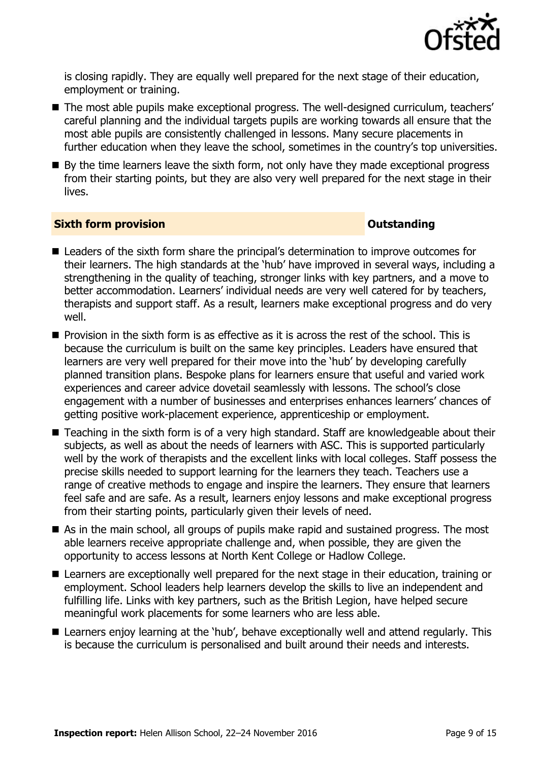

is closing rapidly. They are equally well prepared for the next stage of their education, employment or training.

- The most able pupils make exceptional progress. The well-designed curriculum, teachers' careful planning and the individual targets pupils are working towards all ensure that the most able pupils are consistently challenged in lessons. Many secure placements in further education when they leave the school, sometimes in the country's top universities.
- By the time learners leave the sixth form, not only have they made exceptional progress from their starting points, but they are also very well prepared for the next stage in their lives.

#### **Sixth form provision CONSISTER SIXTERS IN A SIXTER SIXTER SIXTER SIXTERS IN A SIXTER SIXTER SIXTERS IN A SIXTER**

- Leaders of the sixth form share the principal's determination to improve outcomes for their learners. The high standards at the 'hub' have improved in several ways, including a strengthening in the quality of teaching, stronger links with key partners, and a move to better accommodation. Learners' individual needs are very well catered for by teachers, therapists and support staff. As a result, learners make exceptional progress and do very well.
- **Provision in the sixth form is as effective as it is across the rest of the school. This is** because the curriculum is built on the same key principles. Leaders have ensured that learners are very well prepared for their move into the 'hub' by developing carefully planned transition plans. Bespoke plans for learners ensure that useful and varied work experiences and career advice dovetail seamlessly with lessons. The school's close engagement with a number of businesses and enterprises enhances learners' chances of getting positive work-placement experience, apprenticeship or employment.
- Teaching in the sixth form is of a very high standard. Staff are knowledgeable about their subjects, as well as about the needs of learners with ASC. This is supported particularly well by the work of therapists and the excellent links with local colleges. Staff possess the precise skills needed to support learning for the learners they teach. Teachers use a range of creative methods to engage and inspire the learners. They ensure that learners feel safe and are safe. As a result, learners enjoy lessons and make exceptional progress from their starting points, particularly given their levels of need.
- As in the main school, all groups of pupils make rapid and sustained progress. The most able learners receive appropriate challenge and, when possible, they are given the opportunity to access lessons at North Kent College or Hadlow College.
- Learners are exceptionally well prepared for the next stage in their education, training or employment. School leaders help learners develop the skills to live an independent and fulfilling life. Links with key partners, such as the British Legion, have helped secure meaningful work placements for some learners who are less able.
- Learners enjoy learning at the 'hub', behave exceptionally well and attend regularly. This is because the curriculum is personalised and built around their needs and interests.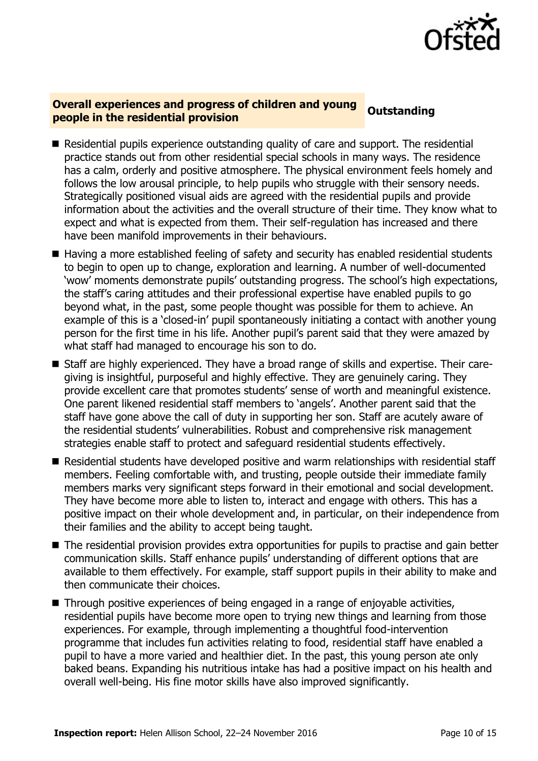

### **Overall experiences and progress of children and young prefail experiences and progress of children and young** outstanding **beople in the residential provision**

- Residential pupils experience outstanding quality of care and support. The residential practice stands out from other residential special schools in many ways. The residence has a calm, orderly and positive atmosphere. The physical environment feels homely and follows the low arousal principle, to help pupils who struggle with their sensory needs. Strategically positioned visual aids are agreed with the residential pupils and provide information about the activities and the overall structure of their time. They know what to expect and what is expected from them. Their self-regulation has increased and there have been manifold improvements in their behaviours.
- Having a more established feeling of safety and security has enabled residential students to begin to open up to change, exploration and learning. A number of well-documented 'wow' moments demonstrate pupils' outstanding progress. The school's high expectations, the staff's caring attitudes and their professional expertise have enabled pupils to go beyond what, in the past, some people thought was possible for them to achieve. An example of this is a 'closed-in' pupil spontaneously initiating a contact with another young person for the first time in his life. Another pupil's parent said that they were amazed by what staff had managed to encourage his son to do.
- Staff are highly experienced. They have a broad range of skills and expertise. Their caregiving is insightful, purposeful and highly effective. They are genuinely caring. They provide excellent care that promotes students' sense of worth and meaningful existence. One parent likened residential staff members to 'angels'. Another parent said that the staff have gone above the call of duty in supporting her son. Staff are acutely aware of the residential students' vulnerabilities. Robust and comprehensive risk management strategies enable staff to protect and safeguard residential students effectively.
- Residential students have developed positive and warm relationships with residential staff members. Feeling comfortable with, and trusting, people outside their immediate family members marks very significant steps forward in their emotional and social development. They have become more able to listen to, interact and engage with others. This has a positive impact on their whole development and, in particular, on their independence from their families and the ability to accept being taught.
- The residential provision provides extra opportunities for pupils to practise and gain better communication skills. Staff enhance pupils' understanding of different options that are available to them effectively. For example, staff support pupils in their ability to make and then communicate their choices.
- Through positive experiences of being engaged in a range of enjoyable activities, residential pupils have become more open to trying new things and learning from those experiences. For example, through implementing a thoughtful food-intervention programme that includes fun activities relating to food, residential staff have enabled a pupil to have a more varied and healthier diet. In the past, this young person ate only baked beans. Expanding his nutritious intake has had a positive impact on his health and overall well-being. His fine motor skills have also improved significantly.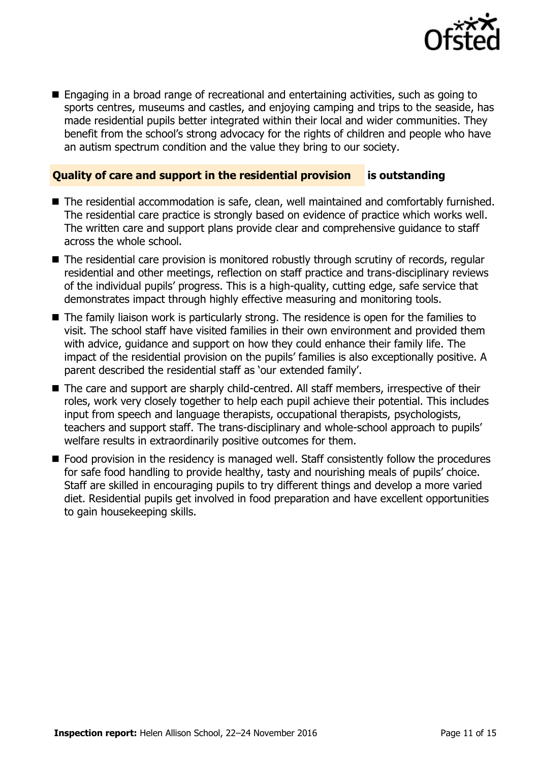

■ Engaging in a broad range of recreational and entertaining activities, such as going to sports centres, museums and castles, and enjoying camping and trips to the seaside, has made residential pupils better integrated within their local and wider communities. They benefit from the school's strong advocacy for the rights of children and people who have an autism spectrum condition and the value they bring to our society.

### **Quality of care and support in the residential provision is outstanding**

- The residential accommodation is safe, clean, well maintained and comfortably furnished. The residential care practice is strongly based on evidence of practice which works well. The written care and support plans provide clear and comprehensive guidance to staff across the whole school.
- The residential care provision is monitored robustly through scrutiny of records, regular residential and other meetings, reflection on staff practice and trans-disciplinary reviews of the individual pupils' progress. This is a high-quality, cutting edge, safe service that demonstrates impact through highly effective measuring and monitoring tools.
- The family liaison work is particularly strong. The residence is open for the families to visit. The school staff have visited families in their own environment and provided them with advice, guidance and support on how they could enhance their family life. The impact of the residential provision on the pupils' families is also exceptionally positive. A parent described the residential staff as 'our extended family'.
- The care and support are sharply child-centred. All staff members, irrespective of their roles, work very closely together to help each pupil achieve their potential. This includes input from speech and language therapists, occupational therapists, psychologists, teachers and support staff. The trans-disciplinary and whole-school approach to pupils' welfare results in extraordinarily positive outcomes for them.
- Food provision in the residency is managed well. Staff consistently follow the procedures for safe food handling to provide healthy, tasty and nourishing meals of pupils' choice. Staff are skilled in encouraging pupils to try different things and develop a more varied diet. Residential pupils get involved in food preparation and have excellent opportunities to gain housekeeping skills.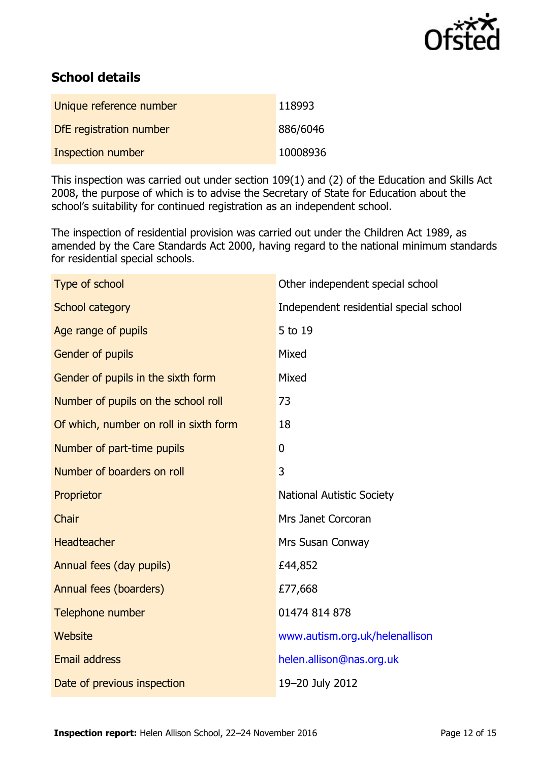

# **School details**

| Unique reference number  | 118993   |
|--------------------------|----------|
| DfE registration number  | 886/6046 |
| <b>Inspection number</b> | 10008936 |

This inspection was carried out under section 109(1) and (2) of the Education and Skills Act 2008, the purpose of which is to advise the Secretary of State for Education about the school's suitability for continued registration as an independent school.

The inspection of residential provision was carried out under the Children Act 1989, as amended by the Care Standards Act 2000, having regard to the national minimum standards for residential special schools.

| Type of school                         | Other independent special school       |
|----------------------------------------|----------------------------------------|
| School category                        | Independent residential special school |
| Age range of pupils                    | 5 to 19                                |
| Gender of pupils                       | Mixed                                  |
| Gender of pupils in the sixth form     | Mixed                                  |
| Number of pupils on the school roll    | 73                                     |
| Of which, number on roll in sixth form | 18                                     |
| Number of part-time pupils             | $\overline{0}$                         |
| Number of boarders on roll             | 3                                      |
| Proprietor                             | <b>National Autistic Society</b>       |
| Chair                                  | Mrs Janet Corcoran                     |
| <b>Headteacher</b>                     | Mrs Susan Conway                       |
| Annual fees (day pupils)               | £44,852                                |
| Annual fees (boarders)                 | £77,668                                |
| Telephone number                       | 01474 814 878                          |
| Website                                | www.autism.org.uk/helenallison         |
| <b>Email address</b>                   | helen.allison@nas.org.uk               |
| Date of previous inspection            | 19-20 July 2012                        |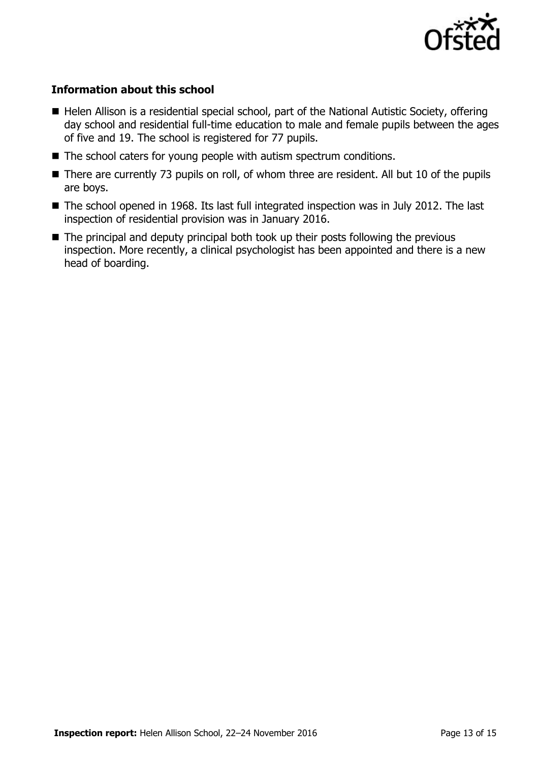

### **Information about this school**

- Helen Allison is a residential special school, part of the National Autistic Society, offering day school and residential full-time education to male and female pupils between the ages of five and 19. The school is registered for 77 pupils.
- The school caters for young people with autism spectrum conditions.
- There are currently 73 pupils on roll, of whom three are resident. All but 10 of the pupils are boys.
- The school opened in 1968. Its last full integrated inspection was in July 2012. The last inspection of residential provision was in January 2016.
- The principal and deputy principal both took up their posts following the previous inspection. More recently, a clinical psychologist has been appointed and there is a new head of boarding.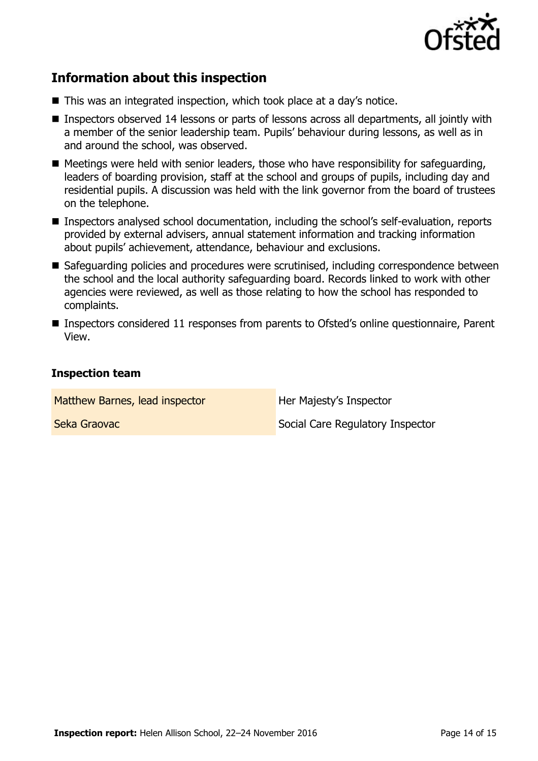

# **Information about this inspection**

- This was an integrated inspection, which took place at a day's notice.
- Inspectors observed 14 lessons or parts of lessons across all departments, all jointly with a member of the senior leadership team. Pupils' behaviour during lessons, as well as in and around the school, was observed.
- Meetings were held with senior leaders, those who have responsibility for safeguarding, leaders of boarding provision, staff at the school and groups of pupils, including day and residential pupils. A discussion was held with the link governor from the board of trustees on the telephone.
- Inspectors analysed school documentation, including the school's self-evaluation, reports provided by external advisers, annual statement information and tracking information about pupils' achievement, attendance, behaviour and exclusions.
- Safeguarding policies and procedures were scrutinised, including correspondence between the school and the local authority safeguarding board. Records linked to work with other agencies were reviewed, as well as those relating to how the school has responded to complaints.
- Inspectors considered 11 responses from parents to Ofsted's online questionnaire, Parent View.

#### **Inspection team**

Matthew Barnes, lead inspector **Her Majesty's Inspector** 

**Seka Graovac Social Care Regulatory Inspector**